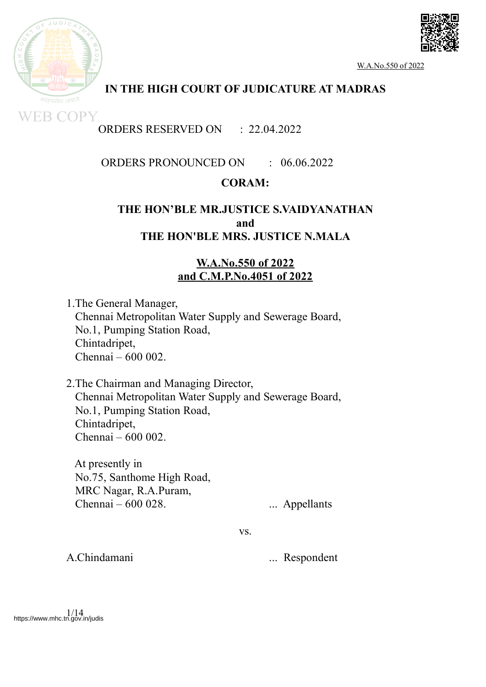



**WEB COPY** 

# **IN THE HIGH COURT OF JUDICATURE AT MADRAS**

# ORDERS RESERVED ON : 22.04.2022

## ORDERS PRONOUNCED ON : 06.06.2022

## **CORAM:**

## **THE HON'BLE MR.JUSTICE S.VAIDYANATHAN and THE HON'BLE MRS. JUSTICE N.MALA**

## **W.A.No.550 of 2022 and C.M.P.No.4051 of 2022**

1.The General Manager, Chennai Metropolitan Water Supply and Sewerage Board, No.1, Pumping Station Road, Chintadripet, Chennai – 600 002.

2.The Chairman and Managing Director, Chennai Metropolitan Water Supply and Sewerage Board, No.1, Pumping Station Road, Chintadripet, Chennai – 600 002.

At presently in No.75, Santhome High Road, MRC Nagar, R.A.Puram, Chennai – 600 028. ... Appellants

vs.

A.Chindamani ... Respondent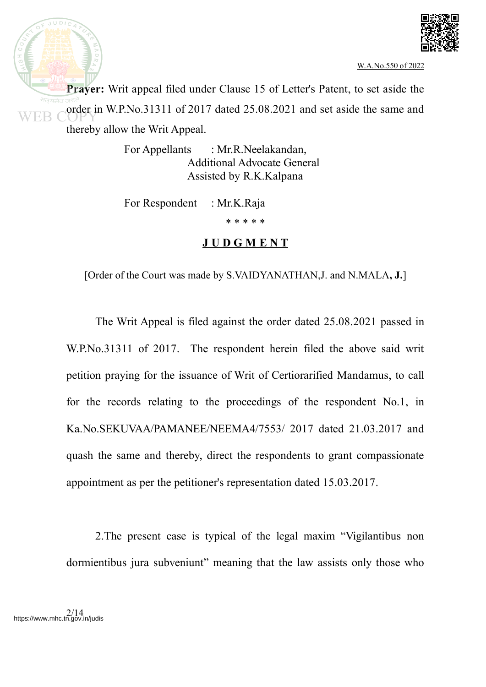

 $JUDIC$ 

**Prayer:** Writ appeal filed under Clause 15 of Letter's Patent, to set aside the order in W.P.No.31311 of 2017 dated 25.08.2021 and set aside the same and thereby allow the Writ Appeal.

> For Appellants : Mr.R.Neelakandan, Additional Advocate General Assisted by R.K.Kalpana

For Respondent : Mr.K.Raja

\* \* \* \* \*

# **J U D G M E N T**

[Order of the Court was made by S.VAIDYANATHAN,J. and N.MALA**, J.**]

The Writ Appeal is filed against the order dated 25.08.2021 passed in W.P.No.31311 of 2017. The respondent herein filed the above said writ petition praying for the issuance of Writ of Certiorarified Mandamus, to call for the records relating to the proceedings of the respondent No.1, in Ka.No.SEKUVAA/PAMANEE/NEEMA4/7553/ 2017 dated 21.03.2017 and quash the same and thereby, direct the respondents to grant compassionate appointment as per the petitioner's representation dated 15.03.2017.

2.The present case is typical of the legal maxim "Vigilantibus non dormientibus jura subveniunt" meaning that the law assists only those who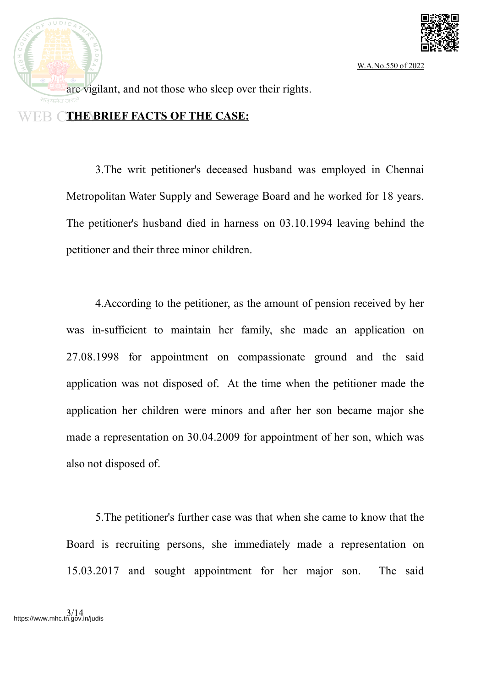

 $JUDIC$ are vigilant, and not those who sleep over their rights.

### **THE BRIEF FACTS OF THE CASE:**

3.The writ petitioner's deceased husband was employed in Chennai Metropolitan Water Supply and Sewerage Board and he worked for 18 years. The petitioner's husband died in harness on 03.10.1994 leaving behind the petitioner and their three minor children.

4.According to the petitioner, as the amount of pension received by her was in-sufficient to maintain her family, she made an application on 27.08.1998 for appointment on compassionate ground and the said application was not disposed of. At the time when the petitioner made the application her children were minors and after her son became major she made a representation on 30.04.2009 for appointment of her son, which was also not disposed of.

5.The petitioner's further case was that when she came to know that the Board is recruiting persons, she immediately made a representation on 15.03.2017 and sought appointment for her major son. The said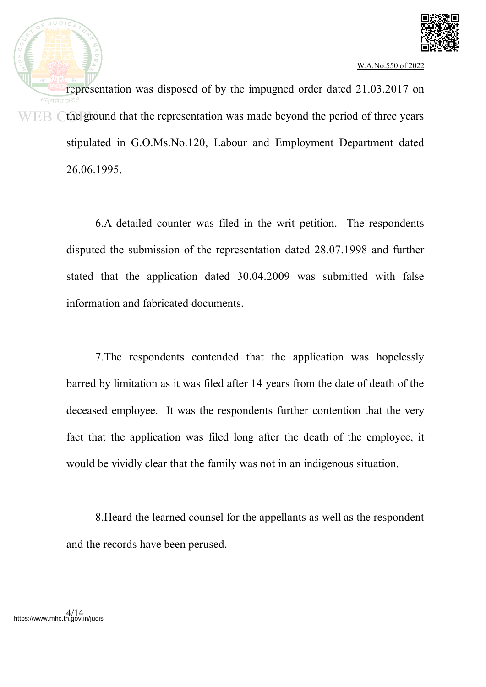

representation was disposed of by the impugned order dated 21.03.2017 on the ground that the representation was made beyond the period of three years WEB ( stipulated in G.O.Ms.No.120, Labour and Employment Department dated 26.06.1995.

> 6.A detailed counter was filed in the writ petition. The respondents disputed the submission of the representation dated 28.07.1998 and further stated that the application dated 30.04.2009 was submitted with false information and fabricated documents.

> 7.The respondents contended that the application was hopelessly barred by limitation as it was filed after 14 years from the date of death of the deceased employee. It was the respondents further contention that the very fact that the application was filed long after the death of the employee, it would be vividly clear that the family was not in an indigenous situation.

> 8.Heard the learned counsel for the appellants as well as the respondent and the records have been perused.

4/14 https://www.mhc.tn.gov.in/judis

**IUDI**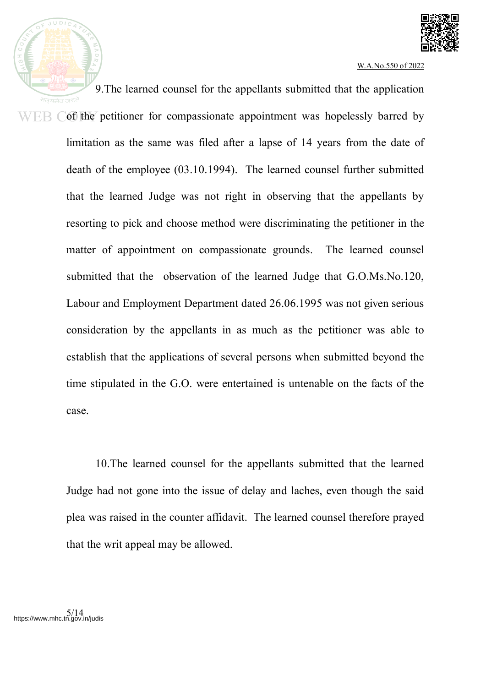

9.The learned counsel for the appellants submitted that the application EB Cof the petitioner for compassionate appointment was hopelessly barred by limitation as the same was filed after a lapse of 14 years from the date of death of the employee (03.10.1994). The learned counsel further submitted that the learned Judge was not right in observing that the appellants by resorting to pick and choose method were discriminating the petitioner in the matter of appointment on compassionate grounds. The learned counsel submitted that the observation of the learned Judge that G.O.Ms.No.120, Labour and Employment Department dated 26.06.1995 was not given serious consideration by the appellants in as much as the petitioner was able to establish that the applications of several persons when submitted beyond the time stipulated in the G.O. were entertained is untenable on the facts of the case.

> 10.The learned counsel for the appellants submitted that the learned Judge had not gone into the issue of delay and laches, even though the said plea was raised in the counter affidavit. The learned counsel therefore prayed that the writ appeal may be allowed.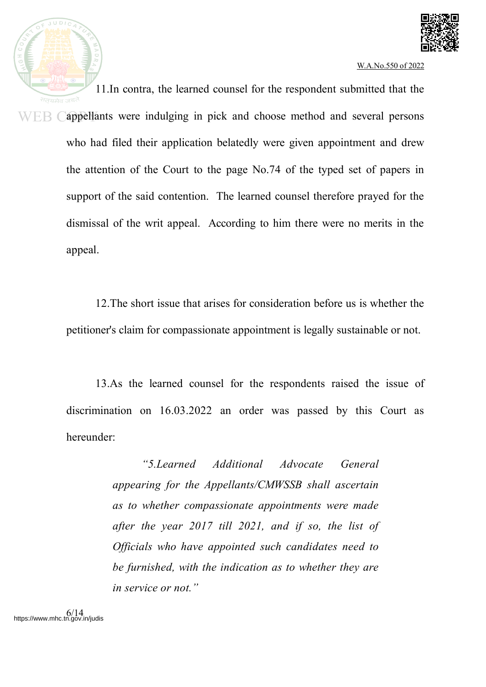

11.In contra, the learned counsel for the respondent submitted that the appellants were indulging in pick and choose method and several persons WEB ( who had filed their application belatedly were given appointment and drew the attention of the Court to the page No.74 of the typed set of papers in support of the said contention. The learned counsel therefore prayed for the dismissal of the writ appeal. According to him there were no merits in the appeal.

> 12.The short issue that arises for consideration before us is whether the petitioner's claim for compassionate appointment is legally sustainable or not.

> 13.As the learned counsel for the respondents raised the issue of discrimination on 16.03.2022 an order was passed by this Court as hereunder:

> > *"5.Learned Additional Advocate General appearing for the Appellants/CMWSSB shall ascertain as to whether compassionate appointments were made after the year 2017 till 2021, and if so, the list of Officials who have appointed such candidates need to be furnished, with the indication as to whether they are in service or not."*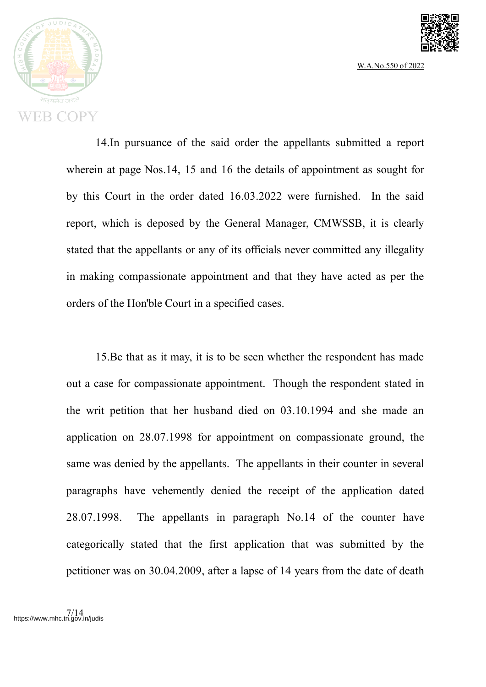



14.In pursuance of the said order the appellants submitted a report wherein at page Nos.14, 15 and 16 the details of appointment as sought for by this Court in the order dated 16.03.2022 were furnished. In the said report, which is deposed by the General Manager, CMWSSB, it is clearly stated that the appellants or any of its officials never committed any illegality in making compassionate appointment and that they have acted as per the orders of the Hon'ble Court in a specified cases.

15.Be that as it may, it is to be seen whether the respondent has made out a case for compassionate appointment. Though the respondent stated in the writ petition that her husband died on 03.10.1994 and she made an application on 28.07.1998 for appointment on compassionate ground, the same was denied by the appellants. The appellants in their counter in several paragraphs have vehemently denied the receipt of the application dated 28.07.1998. The appellants in paragraph No.14 of the counter have categorically stated that the first application that was submitted by the petitioner was on 30.04.2009, after a lapse of 14 years from the date of death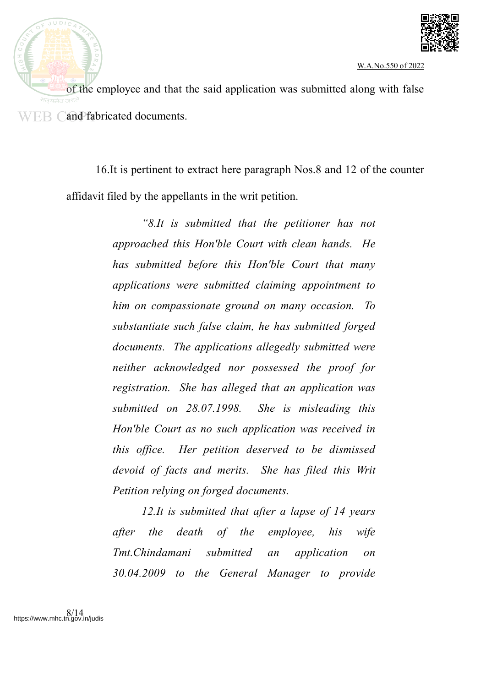



of the employee and that the said application was submitted along with false WEB Cand fabricated documents.

> 16.It is pertinent to extract here paragraph Nos.8 and 12 of the counter affidavit filed by the appellants in the writ petition.

> > *"8.It is submitted that the petitioner has not approached this Hon'ble Court with clean hands. He has submitted before this Hon'ble Court that many applications were submitted claiming appointment to him on compassionate ground on many occasion. To substantiate such false claim, he has submitted forged documents. The applications allegedly submitted were neither acknowledged nor possessed the proof for registration. She has alleged that an application was submitted on 28.07.1998. She is misleading this Hon'ble Court as no such application was received in this office. Her petition deserved to be dismissed devoid of facts and merits. She has filed this Writ Petition relying on forged documents.*

> > *12.It is submitted that after a lapse of 14 years after the death of the employee, his wife Tmt.Chindamani submitted an application on 30.04.2009 to the General Manager to provide*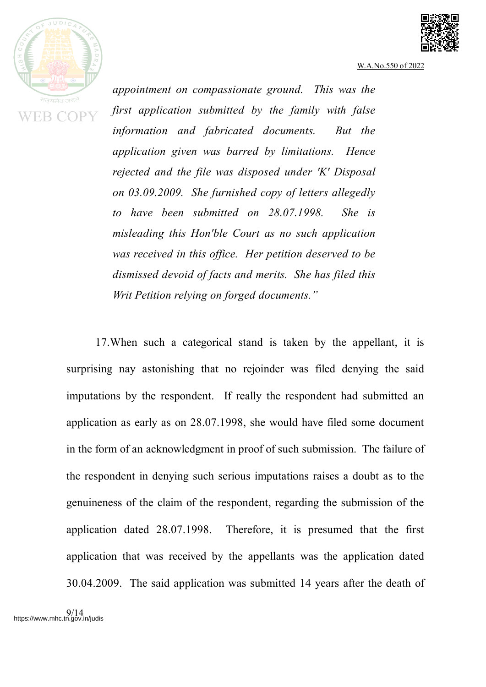



*appointment on compassionate ground. This was the first application submitted by the family with false information and fabricated documents. But the application given was barred by limitations. Hence rejected and the file was disposed under 'K' Disposal on 03.09.2009. She furnished copy of letters allegedly to have been submitted on 28.07.1998. She is misleading this Hon'ble Court as no such application was received in this office. Her petition deserved to be dismissed devoid of facts and merits. She has filed this Writ Petition relying on forged documents."*

17.When such a categorical stand is taken by the appellant, it is surprising nay astonishing that no rejoinder was filed denying the said imputations by the respondent. If really the respondent had submitted an application as early as on 28.07.1998, she would have filed some document in the form of an acknowledgment in proof of such submission. The failure of the respondent in denying such serious imputations raises a doubt as to the genuineness of the claim of the respondent, regarding the submission of the application dated 28.07.1998. Therefore, it is presumed that the first application that was received by the appellants was the application dated 30.04.2009. The said application was submitted 14 years after the death of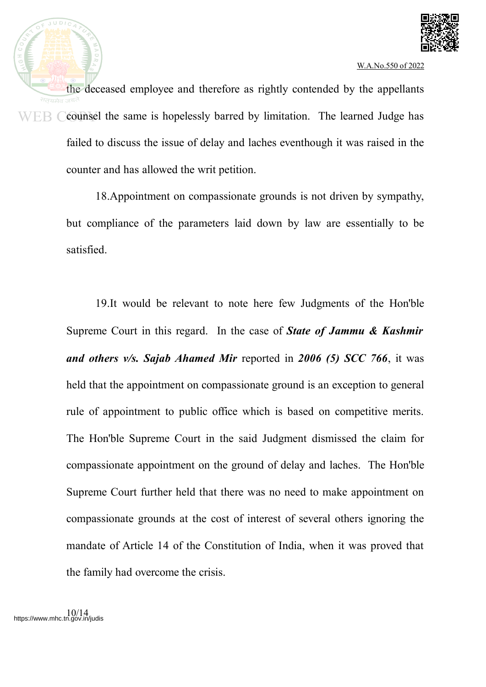

the deceased employee and therefore as rightly contended by the appellants counsel the same is hopelessly barred by limitation. The learned Judge has WEB ( failed to discuss the issue of delay and laches eventhough it was raised in the counter and has allowed the writ petition.

> 18.Appointment on compassionate grounds is not driven by sympathy, but compliance of the parameters laid down by law are essentially to be satisfied.

> 19.It would be relevant to note here few Judgments of the Hon'ble Supreme Court in this regard. In the case of *State of Jammu & Kashmir and others v/s. Sajab Ahamed Mir* reported in *2006 (5) SCC 766*, it was held that the appointment on compassionate ground is an exception to general rule of appointment to public office which is based on competitive merits. The Hon'ble Supreme Court in the said Judgment dismissed the claim for compassionate appointment on the ground of delay and laches. The Hon'ble Supreme Court further held that there was no need to make appointment on compassionate grounds at the cost of interest of several others ignoring the mandate of Article 14 of the Constitution of India, when it was proved that the family had overcome the crisis.

 $JUDIC$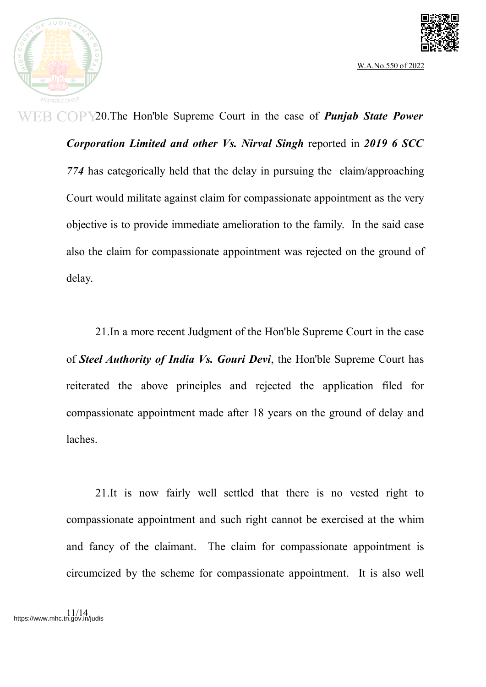



20.The Hon'ble Supreme Court in the case of *Punjab State Power Corporation Limited and other Vs. Nirval Singh* reported in *2019 6 SCC 774* has categorically held that the delay in pursuing the claim/approaching Court would militate against claim for compassionate appointment as the very objective is to provide immediate amelioration to the family. In the said case also the claim for compassionate appointment was rejected on the ground of delay.

21.In a more recent Judgment of the Hon'ble Supreme Court in the case of *Steel Authority of India Vs. Gouri Devi*, the Hon'ble Supreme Court has reiterated the above principles and rejected the application filed for compassionate appointment made after 18 years on the ground of delay and laches.

21.It is now fairly well settled that there is no vested right to compassionate appointment and such right cannot be exercised at the whim and fancy of the claimant. The claim for compassionate appointment is circumcized by the scheme for compassionate appointment. It is also well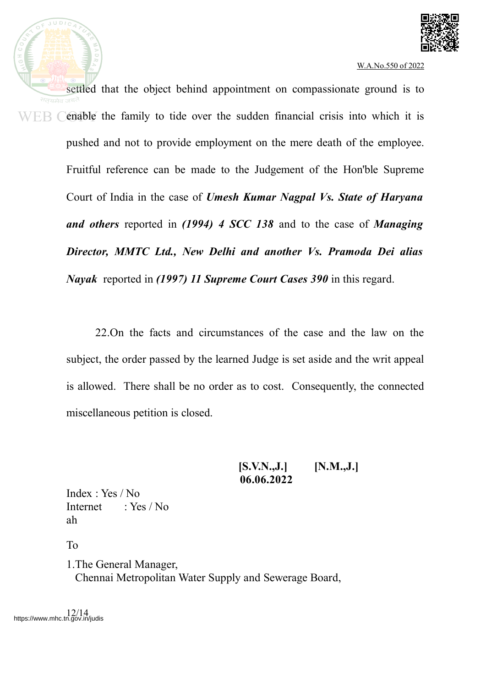



settled that the object behind appointment on compassionate ground is to enable the family to tide over the sudden financial crisis into which it is WEB ( pushed and not to provide employment on the mere death of the employee. Fruitful reference can be made to the Judgement of the Hon'ble Supreme Court of India in the case of *Umesh Kumar Nagpal Vs. State of Haryana and others* reported in *(1994) 4 SCC 138* and to the case of *Managing Director, MMTC Ltd., New Delhi and another Vs. Pramoda Dei alias Nayak* reported in *(1997) 11 Supreme Court Cases 390* in this regard.

> 22.On the facts and circumstances of the case and the law on the subject, the order passed by the learned Judge is set aside and the writ appeal is allowed. There shall be no order as to cost. Consequently, the connected miscellaneous petition is closed.

> > **[S.V.N.,J.] [N.M.,J.] 06.06.2022**

Index : Yes / No Internet  $\cdot$  Yes / No ah

To

1.The General Manager, Chennai Metropolitan Water Supply and Sewerage Board,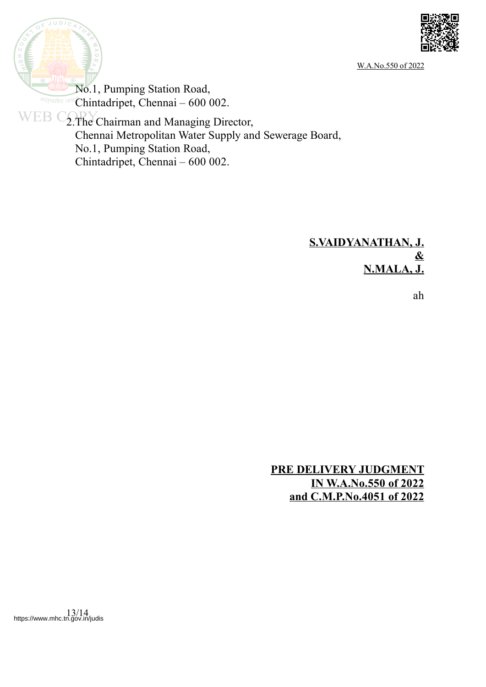



No.1, Pumping Station Road, Chintadripet, Chennai – 600 002. सत्यमेव जय

WEB COPY Chairman and Managing Director, Chennai Metropolitan Water Supply and Sewerage Board, No.1, Pumping Station Road, Chintadripet, Chennai – 600 002.

# **S.VAIDYANATHAN, J. & N.MALA, J.**

ah

**PRE DELIVERY JUDGMENT IN W.A.No.550 of 2022 and C.M.P.No.4051 of 2022**